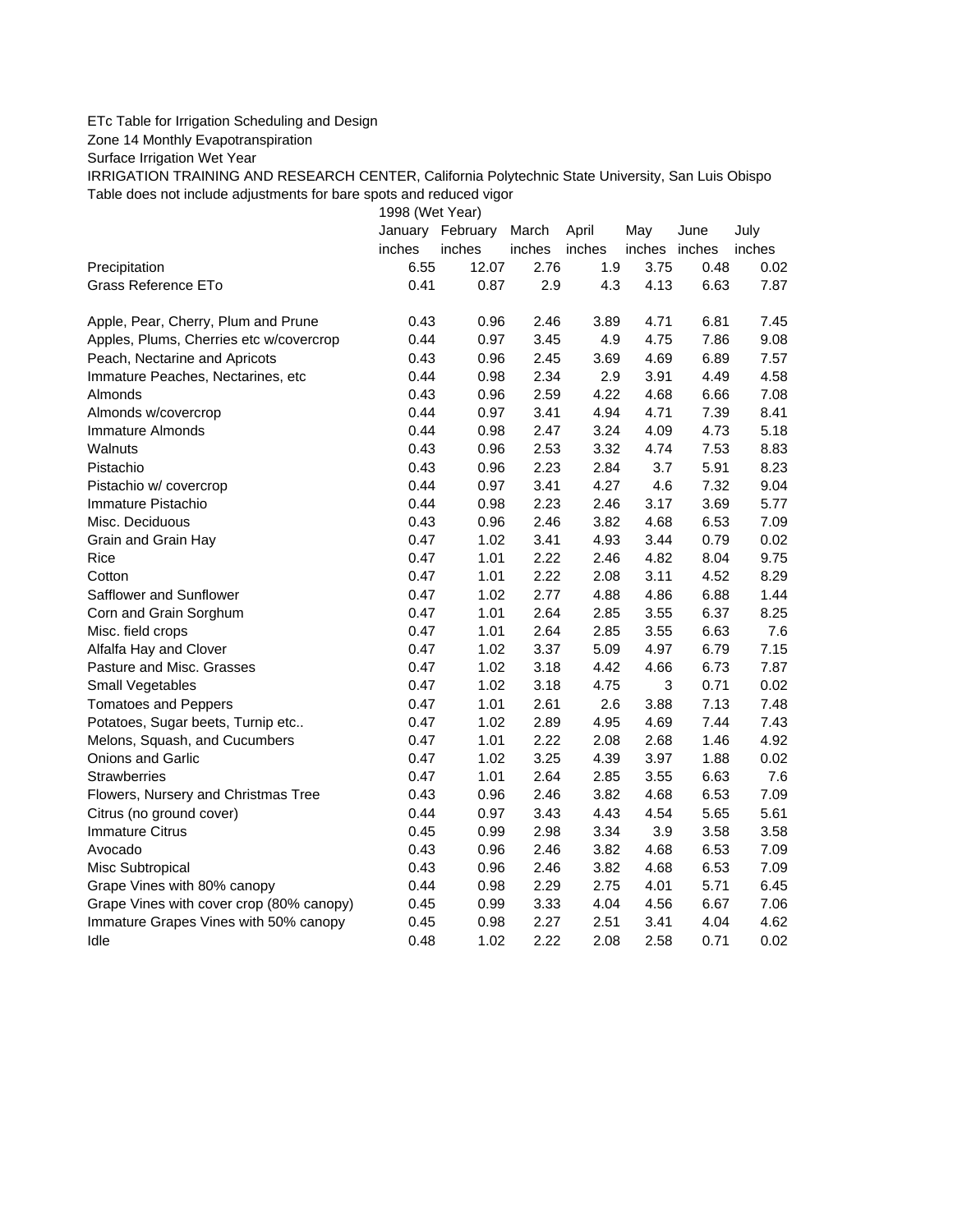## ETc Table for Irrigation Scheduling and Design

Zone 14 Monthly Evapotranspiration

Surface Irrigation Wet Year

IRRIGATION TRAINING AND RESEARCH CENTER, California Polytechnic State University, San Luis Obispo Table does not include adjustments for bare spots and reduced vigor

1998 (Wet Year)

|                                          |        | January February | March  | April  | May           | June | July   |
|------------------------------------------|--------|------------------|--------|--------|---------------|------|--------|
|                                          | inches | inches           | inches | inches | inches inches |      | inches |
| Precipitation                            | 6.55   | 12.07            | 2.76   | 1.9    | 3.75          | 0.48 | 0.02   |
| Grass Reference ETo                      | 0.41   | 0.87             | 2.9    | 4.3    | 4.13          | 6.63 | 7.87   |
| Apple, Pear, Cherry, Plum and Prune      | 0.43   | 0.96             | 2.46   | 3.89   | 4.71          | 6.81 | 7.45   |
| Apples, Plums, Cherries etc w/covercrop  | 0.44   | 0.97             | 3.45   | 4.9    | 4.75          | 7.86 | 9.08   |
| Peach, Nectarine and Apricots            | 0.43   | 0.96             | 2.45   | 3.69   | 4.69          | 6.89 | 7.57   |
| Immature Peaches, Nectarines, etc        | 0.44   | 0.98             | 2.34   | 2.9    | 3.91          | 4.49 | 4.58   |
| Almonds                                  | 0.43   | 0.96             | 2.59   | 4.22   | 4.68          | 6.66 | 7.08   |
| Almonds w/covercrop                      | 0.44   | 0.97             | 3.41   | 4.94   | 4.71          | 7.39 | 8.41   |
| Immature Almonds                         | 0.44   | 0.98             | 2.47   | 3.24   | 4.09          | 4.73 | 5.18   |
| Walnuts                                  | 0.43   | 0.96             | 2.53   | 3.32   | 4.74          | 7.53 | 8.83   |
| Pistachio                                | 0.43   | 0.96             | 2.23   | 2.84   | 3.7           | 5.91 | 8.23   |
| Pistachio w/ covercrop                   | 0.44   | 0.97             | 3.41   | 4.27   | 4.6           | 7.32 | 9.04   |
| Immature Pistachio                       | 0.44   | 0.98             | 2.23   | 2.46   | 3.17          | 3.69 | 5.77   |
| Misc. Deciduous                          | 0.43   | 0.96             | 2.46   | 3.82   | 4.68          | 6.53 | 7.09   |
| Grain and Grain Hay                      | 0.47   | 1.02             | 3.41   | 4.93   | 3.44          | 0.79 | 0.02   |
| Rice                                     | 0.47   | 1.01             | 2.22   | 2.46   | 4.82          | 8.04 | 9.75   |
| Cotton                                   | 0.47   | 1.01             | 2.22   | 2.08   | 3.11          | 4.52 | 8.29   |
| Safflower and Sunflower                  | 0.47   | 1.02             | 2.77   | 4.88   | 4.86          | 6.88 | 1.44   |
| Corn and Grain Sorghum                   | 0.47   | 1.01             | 2.64   | 2.85   | 3.55          | 6.37 | 8.25   |
| Misc. field crops                        | 0.47   | 1.01             | 2.64   | 2.85   | 3.55          | 6.63 | 7.6    |
| Alfalfa Hay and Clover                   | 0.47   | 1.02             | 3.37   | 5.09   | 4.97          | 6.79 | 7.15   |
| Pasture and Misc. Grasses                | 0.47   | 1.02             | 3.18   | 4.42   | 4.66          | 6.73 | 7.87   |
| Small Vegetables                         | 0.47   | 1.02             | 3.18   | 4.75   | 3             | 0.71 | 0.02   |
| <b>Tomatoes and Peppers</b>              | 0.47   | 1.01             | 2.61   | 2.6    | 3.88          | 7.13 | 7.48   |
| Potatoes, Sugar beets, Turnip etc        | 0.47   | 1.02             | 2.89   | 4.95   | 4.69          | 7.44 | 7.43   |
| Melons, Squash, and Cucumbers            | 0.47   | 1.01             | 2.22   | 2.08   | 2.68          | 1.46 | 4.92   |
| Onions and Garlic                        | 0.47   | 1.02             | 3.25   | 4.39   | 3.97          | 1.88 | 0.02   |
| <b>Strawberries</b>                      | 0.47   | 1.01             | 2.64   | 2.85   | 3.55          | 6.63 | 7.6    |
| Flowers, Nursery and Christmas Tree      | 0.43   | 0.96             | 2.46   | 3.82   | 4.68          | 6.53 | 7.09   |
| Citrus (no ground cover)                 | 0.44   | 0.97             | 3.43   | 4.43   | 4.54          | 5.65 | 5.61   |
| <b>Immature Citrus</b>                   | 0.45   | 0.99             | 2.98   | 3.34   | 3.9           | 3.58 | 3.58   |
| Avocado                                  | 0.43   | 0.96             | 2.46   | 3.82   | 4.68          | 6.53 | 7.09   |
| Misc Subtropical                         | 0.43   | 0.96             | 2.46   | 3.82   | 4.68          | 6.53 | 7.09   |
| Grape Vines with 80% canopy              | 0.44   | 0.98             | 2.29   | 2.75   | 4.01          | 5.71 | 6.45   |
| Grape Vines with cover crop (80% canopy) | 0.45   | 0.99             | 3.33   | 4.04   | 4.56          | 6.67 | 7.06   |
| Immature Grapes Vines with 50% canopy    | 0.45   | 0.98             | 2.27   | 2.51   | 3.41          | 4.04 | 4.62   |
| Idle                                     | 0.48   | 1.02             | 2.22   | 2.08   | 2.58          | 0.71 | 0.02   |